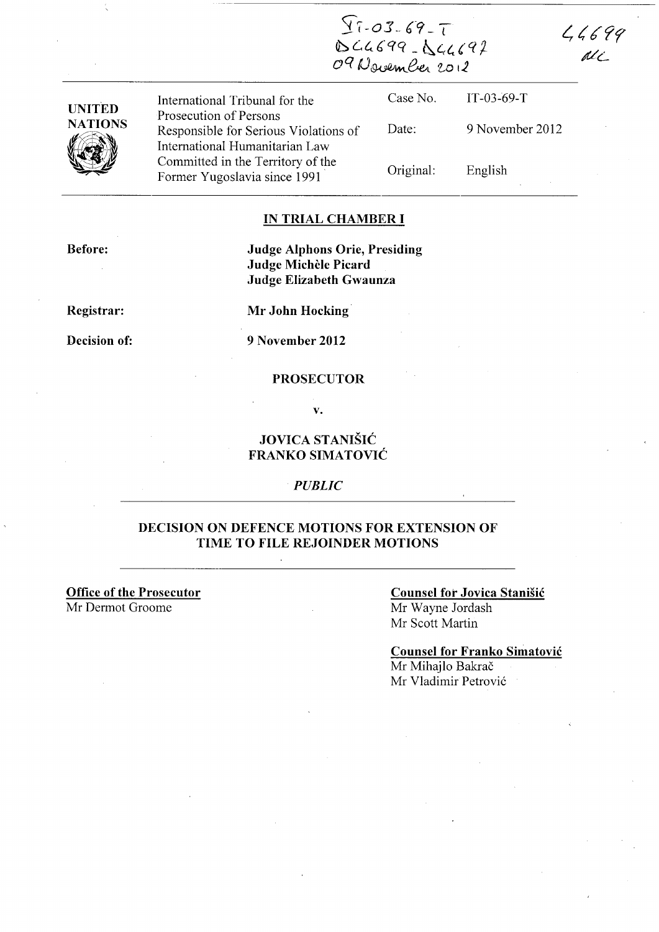$27 - 03 - 69 - 7$ <br>DCG699-DCG692<br>O9 November 2012

 $44699$  $d\ell$ 

| <b>UNITED</b><br><b>NATIONS</b><br>VÍ | International Tribunal for the                                                                    | Case No.  | $IT-03-69-T$    |
|---------------------------------------|---------------------------------------------------------------------------------------------------|-----------|-----------------|
|                                       | Prosecution of Persons<br>Responsible for Serious Violations of<br>International Humanitarian Law | Date:     | 9 November 2012 |
|                                       | Committed in the Territory of the<br>Former Yugoslavia since 1991                                 | Original: | English         |

### **IN TRIAL CHAMBER I**

**Before:** 

**Judge Alphons Orie, Presiding Judge Michele Picard Judge Elizabeth Gwaunza** 

**Registrar:** 

**Decision of:** 

**Mr John Hocking** 

**9 November 2012** 

## **PROSECUTOR**

**v.** 

# **JOVICA STANISIC FRANKO SIMATOVIC**

#### *PUBLIC*

## **DECISION ON DEFENCE MOTIONS FOR EXTENSION OF TIME TO FILE REJOINDER MOTIONS**

**Office of the Prosecutor**  Mr Dermot Groome

## **Counsel for Jovica Stanisic**  Mr Wayne lordash

Mr Scott Martin

**Counsel for Franko Simatovic**  Mr Mihajlo Bakrač Mr Vladimir Petrovi6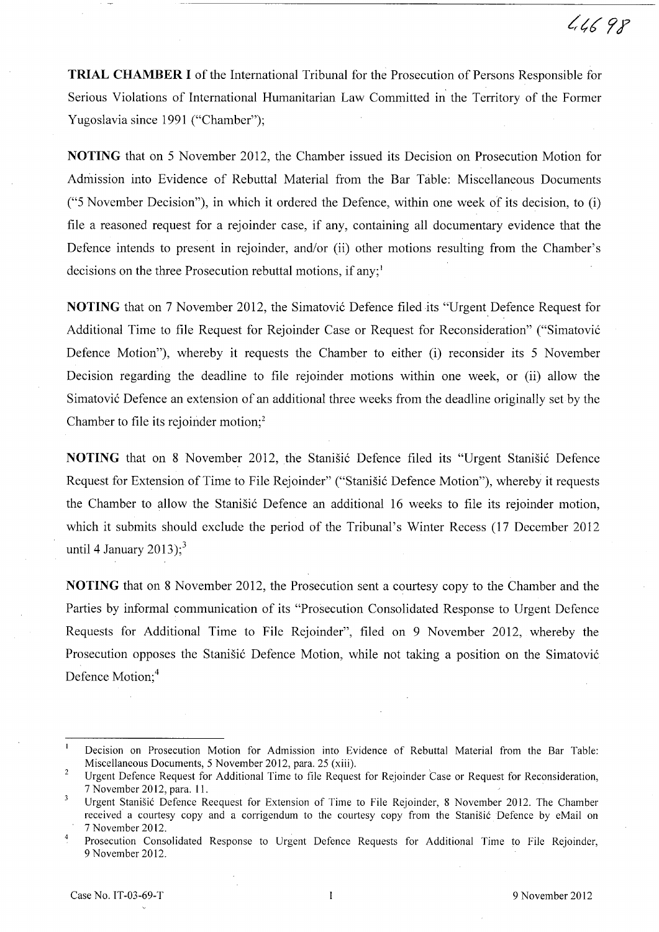**TRIAL CHAMBER I** of the International Tribunal for the Prosecution of Persons Responsible for Serious Violations of International Humanitarian Law Committed in the Territory of the Former Yugoslavia since 1991 ("Chamber");

**NOTING** that on 5 November 2012, the Chamber issued its Decision on Prosecution Motion for Admission into Evidence of Rebuttal Material from the Bar Table: Miscellaneous Documents ("5 November Decision"), in which it ordered the Defence, within one week of its decision, to (i) file a reasoned request for a rejoinder case, if any, containing all documentary evidence that the Defence intends to present in rejoinder, and/or (ii) other motions resulting from the Chamber's decisions on the three Prosecution rebuttal motions, if any;<sup>1</sup>

**NOTING** that on 7 November 2012, the Simatović Defence filed its "Urgent Defence Request for Additional Time to file Request for Rejoinder Case or Request for Reconsideration" ("Simatovi6 Defence Motion"), whereby it requests the Chamber to either (i) reconsider its 5 November Decision regarding the deadline to file rejoinder motions within one week, or (ii) allow the Simatovic Defence an extension of an additional three weeks from the deadline originally set by the Chamber to file its rejoinder motion;<sup>2</sup>

**NOTING** that on 8 November 2012, the Stanisic Defence filed its "Urgent Stanisic Defence Request for Extension of Time to File Rejoinder" ("Stanišić Defence Motion"), whereby it requests the Chamber to allow the Stanisic Defence an additional 16 weeks to file its rejoinder motion, which it submits should exclude the period of the Tribunal's Winter Recess (17 December 2012 until 4 January 2013);<sup>3</sup>

**NOTING** that on 8 November 2012, the Prosecution sent a courtesy copy to the Chamber and the Parties by informal communication of its "Prosecution Consolidated Response to Urgent Defence Requests for Additional Time to File Rejoinder", filed on 9 November 2012, whereby the Prosecution opposes the Stanišić Defence Motion, while not taking a position on the Simatović Defence Motion;<sup>4</sup>

 $\mathbf{1}$ Decision on Prosecution Motion for Admission into Evidence of Rebuttal Material from the Bar Table: Miscellaneous Documents, 5 November 2012, para. 25 (xiii).

 $\overline{2}$ Urgent Defence Request for Additional Time to file Request for Rejoinder Case or Request for Reconsideration, 7 November 2012, para. 11.

 $\overline{3}$ Urgent Stanisic Defence Reequest for Extension of Time to File Rejoinder, 8 November 2012. The Chamber received a courtesy copy and a corrigendum to the courtesy copy from the Stanisic Defence by eMail on 7 November 2012.

Prosecution Consolidated Response to Urgent Defence Requests for Additional Time to File Rejoinder, 9 November 2012.